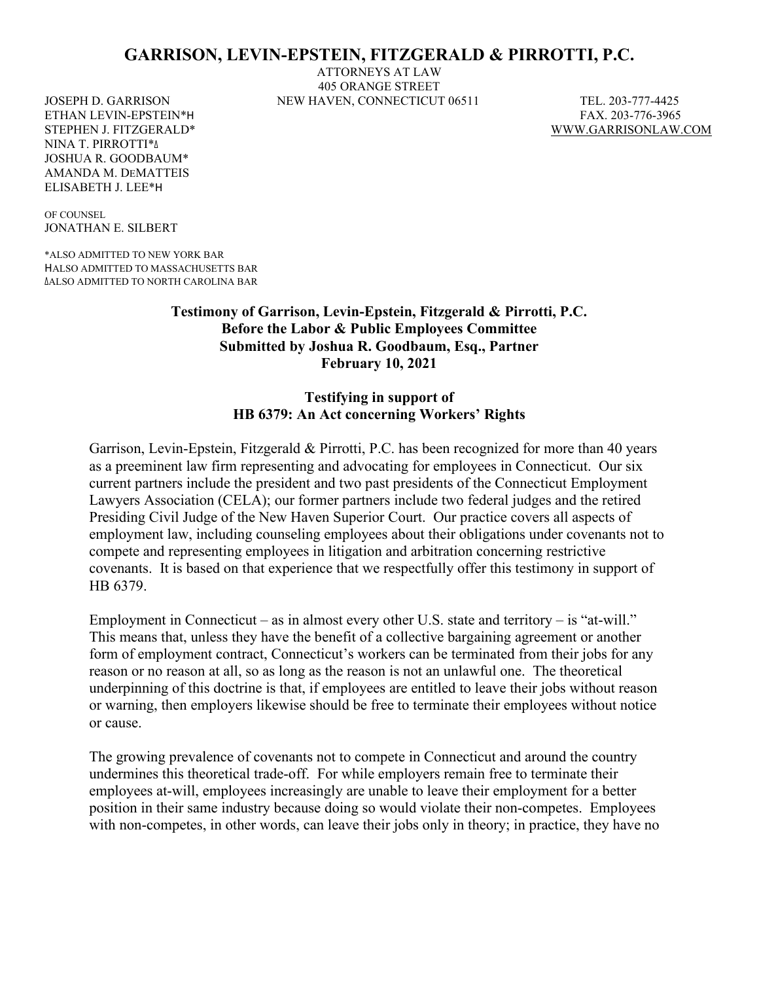# **GARRISON, LEVIN-EPSTEIN, FITZGERALD & PIRROTTI, P.C.**

ATTORNEYS AT LAW 405 ORANGE STREET JOSEPH D. GARRISON NEW HAVEN, CONNECTICUT 06511 TEL. 203-777-4425

STEPHEN J. FITZGERALD\* [WWW.GARRISONLAW.COM](http://www.garrisonlaw.com/)

ETHAN LEVIN-EPSTEIN\*H FAX. 203-776-3965 NINA T. PIRROTTI\*∆ JOSHUA R. GOODBAUM\* AMANDA M. DEMATTEIS ELISABETH J. LEE\*H

OF COUNSEL JONATHAN E. SILBERT

\*ALSO ADMITTED TO NEW YORK BAR HALSO ADMITTED TO MASSACHUSETTS BAR ∆ALSO ADMITTED TO NORTH CAROLINA BAR

> **Testimony of Garrison, Levin-Epstein, Fitzgerald & Pirrotti, P.C. Before the Labor & Public Employees Committee Submitted by Joshua R. Goodbaum, Esq., Partner February 10, 2021**

### **Testifying in support of HB 6379: An Act concerning Workers' Rights**

Garrison, Levin-Epstein, Fitzgerald & Pirrotti, P.C. has been recognized for more than 40 years as a preeminent law firm representing and advocating for employees in Connecticut. Our six current partners include the president and two past presidents of the Connecticut Employment Lawyers Association (CELA); our former partners include two federal judges and the retired Presiding Civil Judge of the New Haven Superior Court. Our practice covers all aspects of employment law, including counseling employees about their obligations under covenants not to compete and representing employees in litigation and arbitration concerning restrictive covenants. It is based on that experience that we respectfully offer this testimony in support of HB 6379.

Employment in Connecticut – as in almost every other U.S. state and territory – is "at-will." This means that, unless they have the benefit of a collective bargaining agreement or another form of employment contract, Connecticut's workers can be terminated from their jobs for any reason or no reason at all, so as long as the reason is not an unlawful one. The theoretical underpinning of this doctrine is that, if employees are entitled to leave their jobs without reason or warning, then employers likewise should be free to terminate their employees without notice or cause.

The growing prevalence of covenants not to compete in Connecticut and around the country undermines this theoretical trade-off. For while employers remain free to terminate their employees at-will, employees increasingly are unable to leave their employment for a better position in their same industry because doing so would violate their non-competes. Employees with non-competes, in other words, can leave their jobs only in theory; in practice, they have no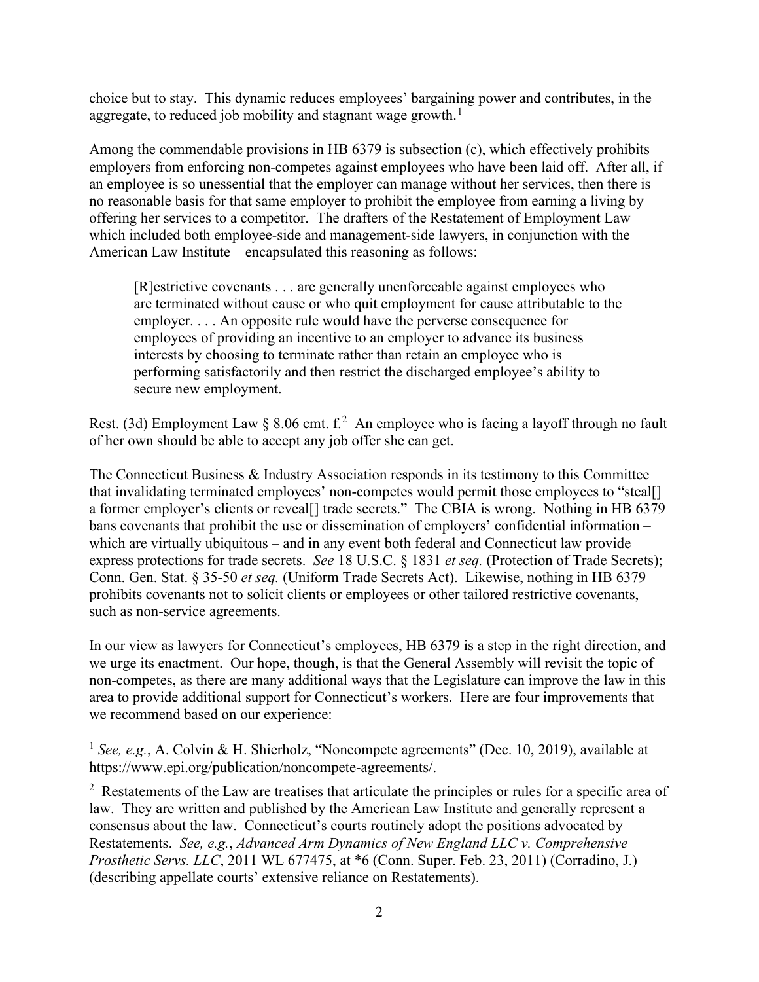choice but to stay. This dynamic reduces employees' bargaining power and contributes, in the aggregate, to reduced job mobility and stagnant wage growth.<sup>[1](#page-1-0)</sup>

Among the commendable provisions in HB 6379 is subsection (c), which effectively prohibits employers from enforcing non-competes against employees who have been laid off. After all, if an employee is so unessential that the employer can manage without her services, then there is no reasonable basis for that same employer to prohibit the employee from earning a living by offering her services to a competitor. The drafters of the Restatement of Employment Law – which included both employee-side and management-side lawyers, in conjunction with the American Law Institute – encapsulated this reasoning as follows:

[R]estrictive covenants . . . are generally unenforceable against employees who are terminated without cause or who quit employment for cause attributable to the employer. . . . An opposite rule would have the perverse consequence for employees of providing an incentive to an employer to advance its business interests by choosing to terminate rather than retain an employee who is performing satisfactorily and then restrict the discharged employee's ability to secure new employment.

Rest. (3d) Employment Law  $\S$  8.06 cmt. f.<sup>[2](#page-1-1)</sup> An employee who is facing a layoff through no fault of her own should be able to accept any job offer she can get.

The Connecticut Business & Industry Association responds in its testimony to this Committee that invalidating terminated employees' non-competes would permit those employees to "steal[] a former employer's clients or reveal[] trade secrets." The CBIA is wrong. Nothing in HB 6379 bans covenants that prohibit the use or dissemination of employers' confidential information – which are virtually ubiquitous – and in any event both federal and Connecticut law provide express protections for trade secrets. *See* 18 U.S.C. § 1831 *et seq.* (Protection of Trade Secrets); Conn. Gen. Stat. § 35-50 *et seq.* (Uniform Trade Secrets Act). Likewise, nothing in HB 6379 prohibits covenants not to solicit clients or employees or other tailored restrictive covenants, such as non-service agreements.

In our view as lawyers for Connecticut's employees, HB 6379 is a step in the right direction, and we urge its enactment. Our hope, though, is that the General Assembly will revisit the topic of non-competes, as there are many additional ways that the Legislature can improve the law in this area to provide additional support for Connecticut's workers. Here are four improvements that we recommend based on our experience:

<span id="page-1-1"></span> $2 \text{ Restatements of the Law are treatises that article the principles or rules for a specific area of }$ law. They are written and published by the American Law Institute and generally represent a consensus about the law. Connecticut's courts routinely adopt the positions advocated by Restatements. *See, e.g.*, *Advanced Arm Dynamics of New England LLC v. Comprehensive Prosthetic Servs. LLC*, 2011 WL 677475, at \*6 (Conn. Super. Feb. 23, 2011) (Corradino, J.) (describing appellate courts' extensive reliance on Restatements).

<span id="page-1-0"></span><sup>&</sup>lt;sup>1</sup> See, e.g., A. Colvin & H. Shierholz, "Noncompete agreements" (Dec. 10, 2019), available at https://www.epi.org/publication/noncompete-agreements/.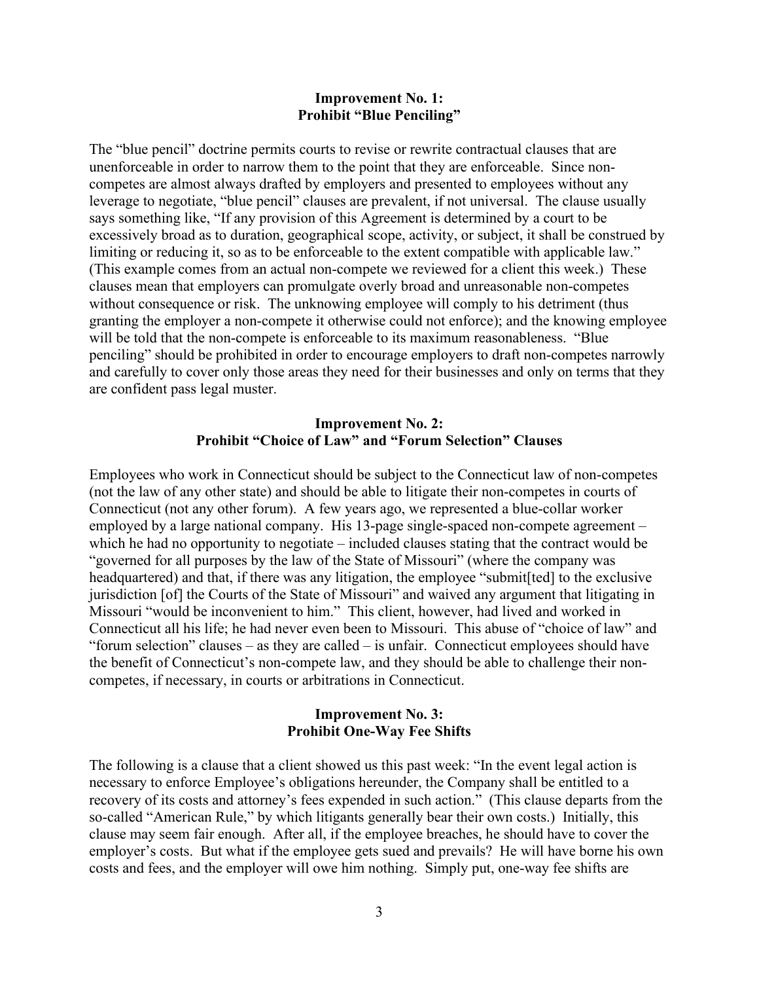#### **Improvement No. 1: Prohibit "Blue Penciling"**

The "blue pencil" doctrine permits courts to revise or rewrite contractual clauses that are unenforceable in order to narrow them to the point that they are enforceable. Since noncompetes are almost always drafted by employers and presented to employees without any leverage to negotiate, "blue pencil" clauses are prevalent, if not universal. The clause usually says something like, "If any provision of this Agreement is determined by a court to be excessively broad as to duration, geographical scope, activity, or subject, it shall be construed by limiting or reducing it, so as to be enforceable to the extent compatible with applicable law." (This example comes from an actual non-compete we reviewed for a client this week.) These clauses mean that employers can promulgate overly broad and unreasonable non-competes without consequence or risk. The unknowing employee will comply to his detriment (thus granting the employer a non-compete it otherwise could not enforce); and the knowing employee will be told that the non-compete is enforceable to its maximum reasonableness. "Blue penciling" should be prohibited in order to encourage employers to draft non-competes narrowly and carefully to cover only those areas they need for their businesses and only on terms that they are confident pass legal muster.

### **Improvement No. 2: Prohibit "Choice of Law" and "Forum Selection" Clauses**

Employees who work in Connecticut should be subject to the Connecticut law of non-competes (not the law of any other state) and should be able to litigate their non-competes in courts of Connecticut (not any other forum). A few years ago, we represented a blue-collar worker employed by a large national company. His 13-page single-spaced non-compete agreement – which he had no opportunity to negotiate – included clauses stating that the contract would be "governed for all purposes by the law of the State of Missouri" (where the company was headquartered) and that, if there was any litigation, the employee "submit[ted] to the exclusive jurisdiction [of] the Courts of the State of Missouri" and waived any argument that litigating in Missouri "would be inconvenient to him." This client, however, had lived and worked in Connecticut all his life; he had never even been to Missouri. This abuse of "choice of law" and "forum selection" clauses – as they are called – is unfair. Connecticut employees should have the benefit of Connecticut's non-compete law, and they should be able to challenge their noncompetes, if necessary, in courts or arbitrations in Connecticut.

### **Improvement No. 3: Prohibit One-Way Fee Shifts**

The following is a clause that a client showed us this past week: "In the event legal action is necessary to enforce Employee's obligations hereunder, the Company shall be entitled to a recovery of its costs and attorney's fees expended in such action." (This clause departs from the so-called "American Rule," by which litigants generally bear their own costs.) Initially, this clause may seem fair enough. After all, if the employee breaches, he should have to cover the employer's costs. But what if the employee gets sued and prevails? He will have borne his own costs and fees, and the employer will owe him nothing. Simply put, one-way fee shifts are